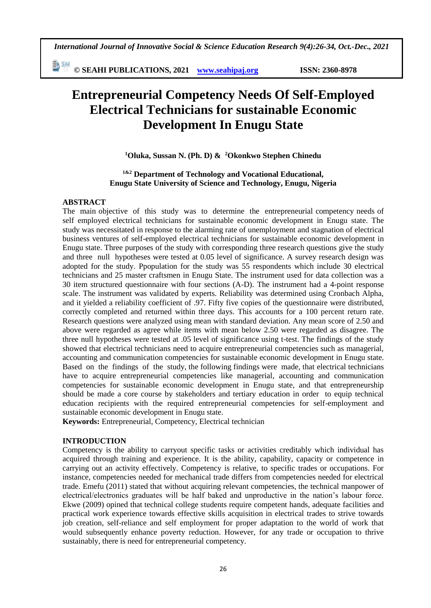*International Journal of Innovative Social & Science Education Research 9(4):26-34, Oct.-Dec., 2021*

勤姻 **© SEAHI PUBLICATIONS, 2021 [www.seahipaj.org](http://www.seahipaj.org/) ISSN: 2360-8978**

# **Entrepreneurial Competency Needs Of Self-Employed Electrical Technicians for sustainable Economic Development In Enugu State**

**<sup>1</sup>Oluka, Sussan N. (Ph. D) & <sup>2</sup>Okonkwo Stephen Chinedu**

**1&2 Department of Technology and Vocational Educational, Enugu State University of Science and Technology, Enugu, Nigeria**

#### **ABSTRACT**

The main objective of this study was to determine the entrepreneurial competency needs of self employed electrical technicians for sustainable economic development in Enugu state. The study was necessitated in response to the alarming rate of unemployment and stagnation of electrical business ventures of self-employed electrical technicians for sustainable economic development in Enugu state. Three purposes of the study with corresponding three research questions give the study and three null hypotheses were tested at 0.05 level of significance. A survey research design was adopted for the study. Ppopulation for the study was 55 respondents which include 30 electrical technicians and 25 master craftsmen in Enugu State. The instrument used for data collection was a 30 item structured questionnaire with four sections (A-D). The instrument had a 4-point response scale. The instrument was validated by experts. Reliability was determined using Cronbach Alpha, and it yielded a reliability coefficient of .97. Fifty five copies of the questionnaire were distributed, correctly completed and returned within three days. This accounts for a 100 percent return rate. Research questions were analyzed using mean with standard deviation. Any mean score of 2.50 and above were regarded as agree while items with mean below 2.50 were regarded as disagree. The three null hypotheses were tested at .05 level of significance using t-test. The findings of the study showed that electrical technicians need to acquire entrepreneurial competencies such as managerial, accounting and communication competencies for sustainable economic development in Enugu state. Based on the findings of the study, the following findings were made, that electrical technicians have to acquire entrepreneurial competencies like managerial, accounting and communication competencies for sustainable economic development in Enugu state, and that entrepreneurship should be made a core course by stakeholders and tertiary education in order to equip technical education recipients with the required entrepreneurial competencies for self-employment and sustainable economic development in Enugu state.

**Keywords:** Entrepreneurial, Competency, Electrical technician

#### **INTRODUCTION**

Competency is the ability to carryout specific tasks or activities creditably which individual has acquired through training and experience. It is the ability, capability, capacity or competence in carrying out an activity effectively. Competency is relative, to specific trades or occupations. For instance, competencies needed for mechanical trade differs from competencies needed for electrical trade. Emefu (2011) stated that without acquiring relevant competencies, the technical manpower of electrical/electronics graduates will be half baked and unproductive in the nation's labour force. Ekwe (2009) opined that technical college students require competent hands, adequate facilities and practical work experience towards effective skills acquisition in electrical trades to strive towards job creation, self-reliance and self employment for proper adaptation to the world of work that would subsequently enhance poverty reduction. However, for any trade or occupation to thrive sustainably, there is need for entrepreneurial competency.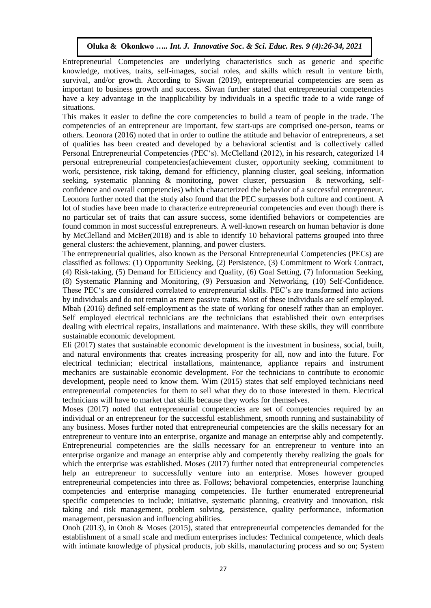Entrepreneurial Competencies are underlying characteristics such as generic and specific knowledge, motives, traits, self-images, social roles, and skills which result in venture birth, survival, and/or growth. According to Siwan (2019), entrepreneurial competencies are seen as important to business growth and success. Siwan further stated that entrepreneurial competencies have a key advantage in the inapplicability by individuals in a specific trade to a wide range of situations.

This makes it easier to define the core competencies to build a team of people in the trade. The competencies of an entrepreneur are important, few start-ups are comprised one-person, teams or others. Leonora (2016) noted that in order to outline the attitude and behavior of entrepreneurs, a set of qualities has been created and developed by a behavioral scientist and is collectively called Personal Entrepreneurial Competencies (PEC's). McClelland (2012), in his research, categorized 14 personal entrepreneurial competencies(achievement cluster, opportunity seeking, commitment to work, persistence, risk taking, demand for efficiency, planning cluster, goal seeking, information seeking, systematic planning & monitoring, power cluster, persuasion & networking, selfconfidence and overall competencies) which characterized the behavior of a successful entrepreneur. Leonora further noted that the study also found that the PEC surpasses both culture and continent. A lot of studies have been made to characterize entrepreneurial competencies and even though there is no particular set of traits that can assure success, some identified behaviors or competencies are found common in most successful entrepreneurs. A well-known research on human behavior is done by McClelland and McBer(2018) and is able to identify 10 behavioral patterns grouped into three general clusters: the achievement, planning, and power clusters.

The entrepreneurial qualities, also known as the Personal Entrepreneurial Competencies (PECs) are classified as follows: (1) Opportunity Seeking, (2) Persistence, (3) Commitment to Work Contract, (4) Risk-taking, (5) Demand for Efficiency and Quality, (6) Goal Setting, (7) Information Seeking, (8) Systematic Planning and Monitoring, (9) Persuasion and Networking, (10) Self-Confidence. These PEC's are considered correlated to entrepreneurial skills. PEC's are transformed into actions by individuals and do not remain as mere passive traits. Most of these individuals are self employed. Mbah (2016) defined self-employment as the state of working for oneself rather than an employer. Self employed electrical technicians are the technicians that established their own enterprises dealing with electrical repairs, installations and maintenance. With these skills, they will contribute sustainable economic development.

Eli (2017) states that sustainable economic development is the investment in business, social, built, and natural environments that creates increasing prosperity for all, now and into the future. For electrical technician; electrical installations, maintenance, appliance repairs and instrument mechanics are sustainable economic development. For the technicians to contribute to economic development, people need to know them. Wim (2015) states that self employed technicians need entrepreneurial competencies for them to sell what they do to those interested in them. Electrical technicians will have to market that skills because they works for themselves.

Moses (2017) noted that entrepreneurial competencies are set of competencies required by an individual or an entrepreneur for the successful establishment, smooth running and sustainability of any business. Moses further noted that entrepreneurial competencies are the skills necessary for an entrepreneur to venture into an enterprise, organize and manage an enterprise ably and competently. Entrepreneurial competencies are the skills necessary for an entrepreneur to venture into an enterprise organize and manage an enterprise ably and competently thereby realizing the goals for which the enterprise was established. Moses (2017) further noted that entrepreneurial competencies help an entrepreneur to successfully venture into an enterprise. Moses however grouped entrepreneurial competencies into three as. Follows; behavioral competencies, enterprise launching competencies and enterprise managing competencies. He further enumerated entrepreneurial specific competencies to include; Initiative, systematic planning, creativity and innovation, risk taking and risk management, problem solving, persistence, quality performance, information management, persuasion and influencing abilities.

Onoh (2013), in Onoh & Moses (2015), stated that entrepreneurial competencies demanded for the establishment of a small scale and medium enterprises includes: Technical competence, which deals with intimate knowledge of physical products, job skills, manufacturing process and so on; System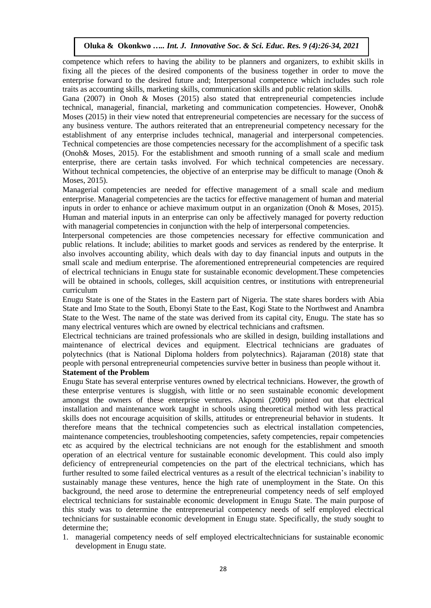competence which refers to having the ability to be planners and organizers, to exhibit skills in fixing all the pieces of the desired components of the business together in order to move the enterprise forward to the desired future and; Interpersonal competence which includes such role traits as accounting skills, marketing skills, communication skills and public relation skills.

Gana (2007) in Onoh & Moses (2015) also stated that entrepreneurial competencies include technical, managerial, financial, marketing and communication competencies. However, Onoh& Moses (2015) in their view noted that entrepreneurial competencies are necessary for the success of any business venture. The authors reiterated that an entrepreneurial competency necessary for the establishment of any enterprise includes technical, managerial and interpersonal competencies. Technical competencies are those competencies necessary for the accomplishment of a specific task (Onoh& Moses, 2015). For the establishment and smooth running of a small scale and medium enterprise, there are certain tasks involved. For which technical competencies are necessary. Without technical competencies, the objective of an enterprise may be difficult to manage (Onoh  $\&$ Moses, 2015).

Managerial competencies are needed for effective management of a small scale and medium enterprise. Managerial competencies are the tactics for effective management of human and material inputs in order to enhance or achieve maximum output in an organization (Onoh & Moses, 2015). Human and material inputs in an enterprise can only be affectively managed for poverty reduction with managerial competencies in conjunction with the help of interpersonal competencies.

Interpersonal competencies are those competencies necessary for effective communication and public relations. It include; abilities to market goods and services as rendered by the enterprise. It also involves accounting ability, which deals with day to day financial inputs and outputs in the small scale and medium enterprise. The aforementioned entrepreneurial competencies are required of electrical technicians in Enugu state for sustainable economic development.These competencies will be obtained in schools, colleges, skill acquisition centres, or institutions with entrepreneurial curriculum

Enugu State is one of the States in the Eastern part of Nigeria. The state shares borders with [Abia](https://en.wikipedia.org/wiki/Abia_State)  [State](https://en.wikipedia.org/wiki/Abia_State) and [Imo State](https://en.wikipedia.org/wiki/Imo_State) to the South, [Ebonyi State](https://en.wikipedia.org/wiki/Ebonyi_State) to the East, [Kogi State](https://en.wikipedia.org/wiki/Kogi_State) to the Northwest an[d Anambra](https://en.wikipedia.org/wiki/Anambra_State)  [State](https://en.wikipedia.org/wiki/Anambra_State) to the West. The name of the state was derived from its capital city, Enugu. The state has so many electrical ventures which are owned by electrical technicians and craftsmen.

Electrical technicians are trained professionals who are skilled in design, building installations and maintenance of electrical devices and equipment. Electrical technicians are graduates of polytechnics (that is National Diploma holders from polytechnics). Rajaraman (2018) state that people with personal entrepreneurial competencies survive better in business than people without it.

## **Statement of the Problem**

Enugu State has several enterprise ventures owned by electrical technicians. However, the growth of these enterprise ventures is sluggish, with little or no seen sustainable economic development amongst the owners of these enterprise ventures. Akpomi (2009) pointed out that electrical installation and maintenance work taught in schools using theoretical method with less practical skills does not encourage acquisition of skills, attitudes or entrepreneurial behavior in students. It therefore means that the technical competencies such as electrical installation competencies, maintenance competencies, troubleshooting competencies, safety competencies, repair competencies etc as acquired by the electrical technicians are not enough for the establishment and smooth operation of an electrical venture for sustainable economic development. This could also imply deficiency of entrepreneurial competencies on the part of the electrical technicians, which has further resulted to some failed electrical ventures as a result of the electrical technician's inability to sustainably manage these ventures, hence the high rate of unemployment in the State. On this background, the need arose to determine the entrepreneurial competency needs of self employed electrical technicians for sustainable economic development in Enugu State. The main purpose of this study was to determine the entrepreneurial competency needs of self employed electrical technicians for sustainable economic development in Enugu state. Specifically, the study sought to determine the;

1. managerial competency needs of self employed electricaltechnicians for sustainable economic development in Enugu state.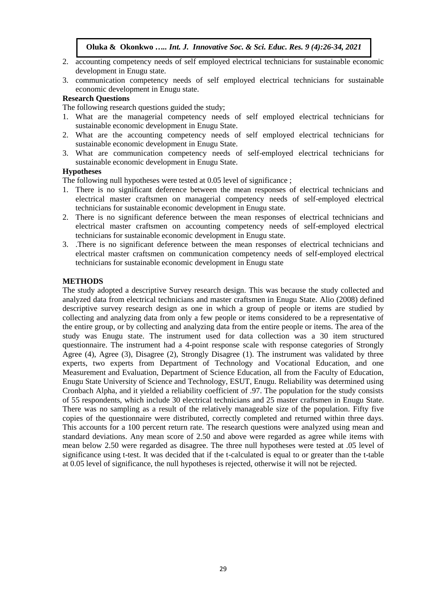- 2. accounting competency needs of self employed electrical technicians for sustainable economic development in Enugu state.
- 3. communication competency needs of self employed electrical technicians for sustainable economic development in Enugu state.

# **Research Questions**

The following research questions guided the study:

- 1. What are the managerial competency needs of self employed electrical technicians for sustainable economic development in Enugu State.
- 2. What are the accounting competency needs of self employed electrical technicians for sustainable economic development in Enugu State.
- 3. What are communication competency needs of self-employed electrical technicians for sustainable economic development in Enugu State.

## **Hypotheses**

The following null hypotheses were tested at 0.05 level of significance ;

- 1. There is no significant deference between the mean responses of electrical technicians and electrical master craftsmen on managerial competency needs of self-employed electrical technicians for sustainable economic development in Enugu state.
- 2. There is no significant deference between the mean responses of electrical technicians and electrical master craftsmen on accounting competency needs of self-employed electrical technicians for sustainable economic development in Enugu state.
- 3. .There is no significant deference between the mean responses of electrical technicians and electrical master craftsmen on communication competency needs of self-employed electrical technicians for sustainable economic development in Enugu state

## **METHODS**

The study adopted a descriptive Survey research design. This was because the study collected and analyzed data from electrical technicians and master craftsmen in Enugu State. Alio (2008) defined descriptive survey research design as one in which a group of people or items are studied by collecting and analyzing data from only a few people or items considered to be a representative of the entire group, or by collecting and analyzing data from the entire people or items. The area of the study was Enugu state. The instrument used for data collection was a 30 item structured questionnaire. The instrument had a 4-point response scale with response categories of Strongly Agree (4), Agree (3), Disagree (2), Strongly Disagree (1). The instrument was validated by three experts, two experts from Department of Technology and Vocational Education, and one Measurement and Evaluation, Department of Science Education, all from the Faculty of Education, Enugu State University of Science and Technology, ESUT, Enugu. Reliability was determined using Cronbach Alpha, and it yielded a reliability coefficient of .97. The population for the study consists of 55 respondents, which include 30 electrical technicians and 25 master craftsmen in Enugu State. There was no sampling as a result of the relatively manageable size of the population. Fifty five copies of the questionnaire were distributed, correctly completed and returned within three days. This accounts for a 100 percent return rate. The research questions were analyzed using mean and standard deviations. Any mean score of 2.50 and above were regarded as agree while items with mean below 2.50 were regarded as disagree. The three null hypotheses were tested at .05 level of significance using t-test. It was decided that if the t-calculated is equal to or greater than the t-table at 0.05 level of significance, the null hypotheses is rejected, otherwise it will not be rejected.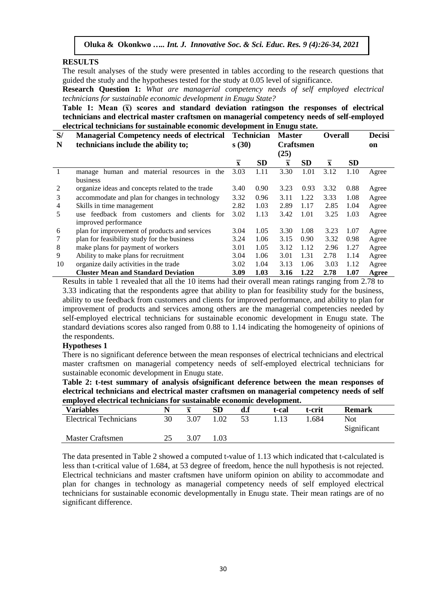### **RESULTS**

The result analyses of the study were presented in tables according to the research questions that guided the study and the hypotheses tested for the study at 0.05 level of significance.

**Research Question 1:** *What are managerial competency needs of self employed electrical technicians for sustainable economic development in Enugu State?*

**Table 1:** Mean  $(\bar{x})$  scores and standard deviation ratingson the responses of electrical **technicians and electrical master craftsmen on managerial competency needs of self-employed electrical technicians for sustainable economic development in Enugu state.**

| S/ | <b>Managerial Competency needs of electrical</b> |                         | <b>Technician</b> | <b>Master</b>           |           | <b>Overall</b>          |           | <b>Decisi</b> |
|----|--------------------------------------------------|-------------------------|-------------------|-------------------------|-----------|-------------------------|-----------|---------------|
| N  | technicians include the ability to;              | s(30)                   |                   | <b>Craftsmen</b>        |           |                         |           | on            |
|    |                                                  |                         |                   | (25)                    |           |                         |           |               |
|    |                                                  | $\overline{\mathbf{x}}$ | <b>SD</b>         | $\overline{\mathbf{x}}$ | <b>SD</b> | $\overline{\mathbf{x}}$ | <b>SD</b> |               |
|    | manage human and material resources in the       | 3.03                    | 1.11              | 3.30                    | 1.01      | 3.12                    | 1.10      | Agree         |
|    | business                                         |                         |                   |                         |           |                         |           |               |
| 2  | organize ideas and concepts related to the trade | 3.40                    | 0.90              | 3.23                    | 0.93      | 3.32                    | 0.88      | Agree         |
| 3  | accommodate and plan for changes in technology   | 3.32                    | 0.96              | 3.11                    | 1.22      | 3.33                    | 1.08      | Agree         |
| 4  | Skills in time management                        | 2.82                    | 1.03              | 2.89                    | 1.17      | 2.85                    | 1.04      | Agree         |
| 5  | use feedback from customers<br>and clients for   | 3.02                    | 1.13              | 3.42                    | 1.01      | 3.25                    | 1.03      | Agree         |
|    | improved performance                             |                         |                   |                         |           |                         |           |               |
| 6  | plan for improvement of products and services    | 3.04                    | 1.05              | 3.30                    | 1.08      | 3.23                    | 1.07      | Agree         |
|    | plan for feasibility study for the business      | 3.24                    | 1.06              | 3.15                    | 0.90      | 3.32                    | 0.98      | Agree         |
| 8  | make plans for payment of workers                | 3.01                    | 1.05              | 3.12                    | 1.12      | 2.96                    | 1.27      | Agree         |
| 9  | Ability to make plans for recruitment            | 3.04                    | 1.06              | 3.01                    | 1.31      | 2.78                    | 1.14      | Agree         |
| 10 | organize daily activities in the trade           | 3.02                    | 1.04              | 3.13                    | 1.06      | 3.03                    | 1.12      | Agree         |
|    | <b>Cluster Mean and Standard Deviation</b>       | 3.09                    | 1.03              | 3.16                    | 1.22      | 2.78                    | 1.07      | Agree         |

Results in table 1 revealed that all the 10 items had their overall mean ratings ranging from 2.78 to 3.33 indicating that the respondents agree that ability to plan for feasibility study for the business, ability to use feedback from customers and clients for improved performance, and ability to plan for improvement of products and services among others are the managerial competencies needed by self-employed electrical technicians for sustainable economic development in Enugu state. The standard deviations scores also ranged from 0.88 to 1.14 indicating the homogeneity of opinions of the respondents.

#### **Hypotheses 1**

There is no significant deference between the mean responses of electrical technicians and electrical master craftsmen on managerial competency needs of self-employed electrical technicians for sustainable economic development in Enugu state.

|                                                                       | Table 2: t-test summary of analysis of significant deference between the mean responses of    |
|-----------------------------------------------------------------------|-----------------------------------------------------------------------------------------------|
|                                                                       | electrical technicians and electrical master craftsmen on managerial competency needs of self |
| employed electrical technicians for sustainable economic development. |                                                                                               |

| emproyed electrical technicians for sustainable economic development. |    |      |      |    |       |        |                     |  |  |  |
|-----------------------------------------------------------------------|----|------|------|----|-------|--------|---------------------|--|--|--|
| <b>Variables</b>                                                      |    |      |      |    | t-cal | t-crit | <b>Remark</b>       |  |  |  |
| <b>Electrical Technicians</b>                                         | 30 | 3.07 | 1.02 | 53 |       | 684    | Not.<br>Significant |  |  |  |
| Master Craftsmen                                                      |    | 3 በ7 | 1.03 |    |       |        |                     |  |  |  |

The data presented in Table 2 showed a computed t-value of 1.13 which indicated that t-calculated is less than t-critical value of 1.684, at 53 degree of freedom, hence the null hypothesis is not rejected. Electrical technicians and master craftsmen have uniform opinion on ability to accommodate and plan for changes in technology as managerial competency needs of self employed electrical technicians for sustainable economic developmentally in Enugu state. Their mean ratings are of no significant difference.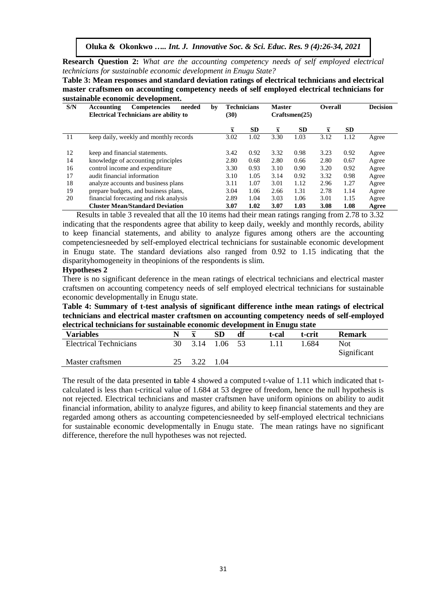**Research Question 2:** *What are the accounting competency needs of self employed electrical technicians for sustainable economic development in Enugu State?*

**Table 3: Mean responses and standard deviation ratings of electrical technicians and electrical master craftsmen on accounting competency needs of self employed electrical technicians for sustainable economic development.**

| S/N | Accounting<br>needed<br><b>Competencies</b><br>by<br><b>Electrical Technicians are ability to</b> | <b>Technicians</b><br>(30) |           | <b>Master</b><br>Craffsmen(25) |           | Overall |           | <b>Decision</b> |
|-----|---------------------------------------------------------------------------------------------------|----------------------------|-----------|--------------------------------|-----------|---------|-----------|-----------------|
|     |                                                                                                   | $\overline{\mathbf{x}}$    | <b>SD</b> | $\overline{\mathbf{x}}$        | <b>SD</b> | X       | <b>SD</b> |                 |
| 11  | keep daily, weekly and monthly records                                                            | 3.02                       | 1.02      | 3.30                           | 1.03      | 3.12    | 1.12      | Agree           |
| 12  | keep and financial statements.                                                                    | 3.42                       | 0.92      | 3.32                           | 0.98      | 3.23    | 0.92      | Agree           |
| 14  | knowledge of accounting principles                                                                | 2.80                       | 0.68      | 2.80                           | 0.66      | 2.80    | 0.67      | Agree           |
| 16  | control income and expenditure                                                                    | 3.30                       | 0.93      | 3.10                           | 0.90      | 3.20    | 0.92      | Agree           |
| 17  | audit financial information                                                                       | 3.10                       | 1.05      | 3.14                           | 0.92      | 3.32    | 0.98      | Agree           |
| 18  | analyze accounts and business plans                                                               | 3.11                       | 1.07      | 3.01                           | 1.12      | 2.96    | 1.27      | Agree           |
| 19  | prepare budgets, and business plans,                                                              | 3.04                       | 1.06      | 2.66                           | 1.31      | 2.78    | 1.14      | Agree           |
| 20  | financial forecasting and risk analysis                                                           | 2.89                       | 1.04      | 3.03                           | 1.06      | 3.01    | 1.15      | Agree           |
|     | <b>Cluster Mean/Standard Deviation</b>                                                            | 3.07                       | 1.02      | 3.07                           | 1.03      | 3.08    | 1.08      | Agree           |

Results in table 3 revealed that all the 10 items had their mean ratings ranging from 2.78 to 3.32 end monthly e ...<br>1.0 indicating that the respondents agree that ability to keep daily, weekly and monthly records, ability to keep financial statements, and ability to analyze figures among others are the accounting competenciesneeded by self-employed electrical technicians for sustainable economic development in Enugu state. The standard deviations also ranged from 0.92 to 1.15 indicating that the disparityhomogeneity in theopinions of the respondents is slim.

#### **Hypotheses 2**

There is no significant deference in the mean ratings of electrical technicians and electrical master craftsmen on accounting competency needs of self employed electrical technicians for sustainable economic developmentally in Enugu state.

**Table 4: Summary of t-test analysis of significant difference inthe mean ratings of electrical technicians and electrical master craftsmen on accounting competency needs of self-employed electrical technicians for sustainable economic development in Enugu state**

| electrical technicians for sustaniaste economic development in Linugu state |  |                 |     |    |       |        |                     |  |  |  |
|-----------------------------------------------------------------------------|--|-----------------|-----|----|-------|--------|---------------------|--|--|--|
| <b>Variables</b>                                                            |  |                 | SD. | df | t-cal | t-crit | <b>Remark</b>       |  |  |  |
| <b>Electrical Technicians</b>                                               |  | 30 3.14 1.06 53 |     |    | 111   | 1 684  | Not.<br>Significant |  |  |  |
| Master craftsmen                                                            |  | 25 3.22 1.04    |     |    |       |        |                     |  |  |  |

The result of the data presented in **t**able 4 showed a computed t-value of 1.11 which indicated that tcalculated is less than t-critical value of 1.684 at 53 degree of freedom, hence the null hypothesis is not rejected. Electrical technicians and master craftsmen have uniform opinions on ability to audit financial information, ability to analyze figures, and ability to keep financial statements and they are regarded among others as accounting competenciesneeded by self-employed electrical technicians for sustainable economic developmentally in Enugu state. The mean ratings have no significant difference, therefore the null hypotheses was not rejected.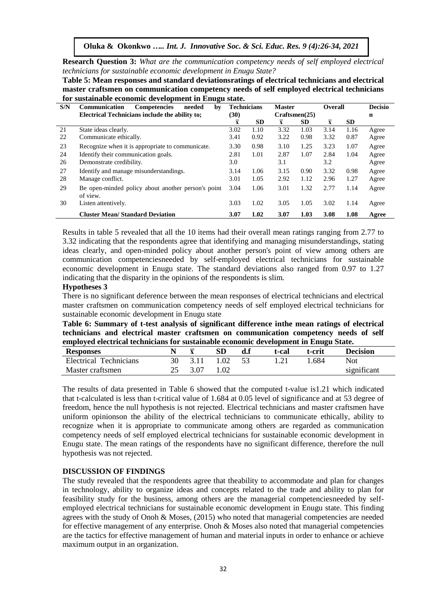**Research Question 3:** *What are the communication competency needs of self employed electrical technicians for sustainable economic development in Enugu State?*

**Table 5: Mean responses and standard deviationsratings of electrical technicians and electrical master craftsmen on communication competency needs of self employed electrical technicians for sustainable economic development in Enugu state.**

| S/N | Communication<br>needed<br><b>Competencies</b><br>by           | <b>Technicians</b>      |           | <b>Master</b>  |           | <b>Overall</b> |           | <b>Decisio</b> |
|-----|----------------------------------------------------------------|-------------------------|-----------|----------------|-----------|----------------|-----------|----------------|
|     | Electrical Technicians include the ability to:                 | (30)                    |           | Craffsmen(25)  |           |                |           | n              |
|     |                                                                | $\overline{\mathbf{x}}$ | <b>SD</b> | $\overline{x}$ | <b>SD</b> | $\overline{x}$ | <b>SD</b> |                |
| 21  | State ideas clearly.                                           | 3.02                    | 1.10      | 3.32           | 1.03      | 3.14           | 1.16      | Agree          |
| 22  | Communicate ethically.                                         | 3.41                    | 0.92      | 3.22           | 0.98      | 3.32           | 0.87      | Agree          |
| 23  | Recognize when it is appropriate to communicate.               | 3.30                    | 0.98      | 3.10           | 1.25      | 3.23           | 1.07      | Agree          |
| 24  | Identify their communication goals.                            | 2.81                    | 1.01      | 2.87           | 1.07      | 2.84           | 1.04      | Agree          |
| 26  | Demonstrate credibility.                                       | 3.0                     |           | 3.1            |           | 3.2            |           | Agree          |
| 27  | Identify and manage misunderstandings.                         | 3.14                    | 1.06      | 3.15           | 0.90      | 3.32           | 0.98      | Agree          |
| 28  | Manage conflict.                                               |                         | 1.05      | 2.92           | 1.12      | 2.96           | 1.27      | Agree          |
| 29  | Be open-minded policy about another person's point<br>of view. | 3.04                    | 1.06      | 3.01           | 1.32      | 2.77           | 1.14      | Agree          |
| 30  | Listen attentively.                                            | 3.03                    | 1.02      | 3.05           | 1.05      | 3.02           | 1.14      | Agree          |
|     | <b>Cluster Mean/Standard Deviation</b>                         | 3.07                    | 1.02      | 3.07           | 1.03      | 3.08           | 1.08      | Agree          |

Results in table 5 revealed that all the 10 items had their overall mean ratings ranging from 2.77 to 3.32 indicating that the respondents agree that identifying and managing misunderstandings, stating ideas clearly, and open-minded policy about another person's point of view among others are communication competenciesneeded by self-employed electrical technicians for sustainable economic development in Enugu state. The standard deviations also ranged from 0.97 to 1.27 indicating that the disparity in the opinions of the respondents is slim.

#### **Hypotheses 3**

There is no significant deference between the mean responses of electrical technicians and electrical master craftsmen on communication competency needs of self employed electrical technicians for sustainable economic development in Enugu state

**Table 6: Summary of t-test analysis of significant difference inthe mean ratings of electrical technicians and electrical master craftsmen on communication competency needs of self employed electrical technicians for sustainable economic development in Enugu State.**

| $\frac{1}{2}$<br><b>Responses</b> |    | ${\bf SD}$ | t-cal | t-crit | <b>Decision</b> |
|-----------------------------------|----|------------|-------|--------|-----------------|
| Electrical Technicians            | 30 | 1.02       |       | .684   | Not             |
| Master craftsmen                  |    | 1.02       |       |        | significant     |

The results of data presented in Table 6 showed that the computed t-value is1.21 which indicated that t-calculated is less than t-critical value of 1.684 at 0.05 level of significance and at 53 degree of freedom, hence the null hypothesis is not rejected. Electrical technicians and master craftsmen have uniform opinionson the ability of the electrical technicians to communicate ethically, ability to recognize when it is appropriate to communicate among others are regarded as communication competency needs of self employed electrical technicians for sustainable economic development in Enugu state. The mean ratings of the respondents have no significant difference, therefore the null hypothesis was not rejected.

## **DISCUSSION OF FINDINGS**

The study revealed that the respondents agree that theability to accommodate and plan for changes in technology, ability to organize ideas and concepts related to the trade and ability to plan for feasibility study for the business, among others are the managerial competenciesneeded by selfemployed electrical technicians for sustainable economic development in Enugu state. This finding agrees with the study of Onoh & Moses, (2015) who noted that managerial competencies are needed for effective management of any enterprise. Onoh & Moses also noted that managerial competencies are the tactics for effective management of human and material inputs in order to enhance or achieve maximum output in an organization.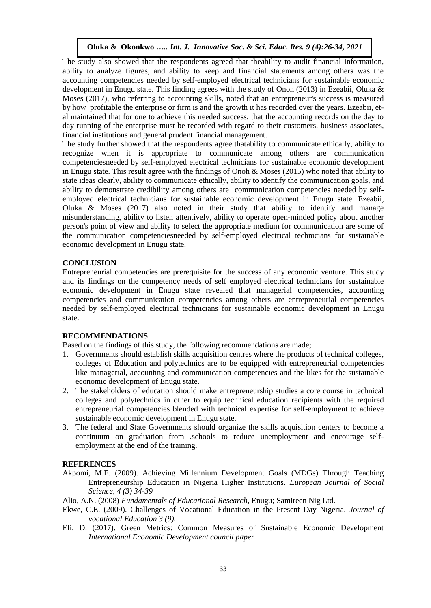The study also showed that the respondents agreed that theability to audit financial information, ability to analyze figures, and ability to keep and financial statements among others was the accounting competencies needed by self-employed electrical technicians for sustainable economic development in Enugu state. This finding agrees with the study of Onoh (2013) in Ezeabii, Oluka & Moses (2017), who referring to accounting skills, noted that an entrepreneur's success is measured by how profitable the enterprise or firm is and the growth it has recorded over the years. Ezeabii, etal maintained that for one to achieve this needed success, that the accounting records on the day to day running of the enterprise must be recorded with regard to their customers, business associates, financial institutions and general prudent financial management.

The study further showed that the respondents agree thatability to communicate ethically, ability to recognize when it is appropriate to communicate among others are communication competenciesneeded by self-employed electrical technicians for sustainable economic development in Enugu state. This result agree with the findings of Onoh & Moses (2015) who noted that ability to state ideas clearly, ability to communicate ethically, ability to identify the communication goals, and ability to demonstrate credibility among others are communication competencies needed by selfemployed electrical technicians for sustainable economic development in Enugu state. Ezeabii, Oluka & Moses (2017) also noted in their study that ability to identify and manage misunderstanding, ability to listen attentively, ability to operate open-minded policy about another person's point of view and ability to select the appropriate medium for communication are some of the communication competenciesneeded by self-employed electrical technicians for sustainable economic development in Enugu state.

## **CONCLUSION**

Entrepreneurial competencies are prerequisite for the success of any economic venture. This study and its findings on the competency needs of self employed electrical technicians for sustainable economic development in Enugu state revealed that managerial competencies, accounting competencies and communication competencies among others are entrepreneurial competencies needed by self-employed electrical technicians for sustainable economic development in Enugu state.

## **RECOMMENDATIONS**

Based on the findings of this study, the following recommendations are made;

- 1. Governments should establish skills acquisition centres where the products of technical colleges, colleges of Education and polytechnics are to be equipped with entrepreneurial competencies like managerial, accounting and communication competencies and the likes for the sustainable economic development of Enugu state.
- 2. The stakeholders of education should make entrepreneurship studies a core course in technical colleges and polytechnics in other to equip technical education recipients with the required entrepreneurial competencies blended with technical expertise for self-employment to achieve sustainable economic development in Enugu state.
- 3. The federal and State Governments should organize the skills acquisition centers to become a continuum on graduation from .schools to reduce unemployment and encourage selfemployment at the end of the training.

## **REFERENCES**

- Akpomi, M.E. (2009). Achieving Millennium Development Goals (MDGs) Through Teaching Entrepreneurship Education in Nigeria Higher Institutions. *European Journal of Social Science, 4 (3) 34-39*
- Alio, A.N. (2008) *Fundamentals of Educational Research*, Enugu; Samireen Nig Ltd.
- Ekwe, C.E. (2009). Challenges of Vocational Education in the Present Day Nigeria. *Journal of vocational Education 3 (9).*
- Eli, D. (2017). Green Metrics: Common Measures of Sustainable Economic Development *International Economic Development council paper*